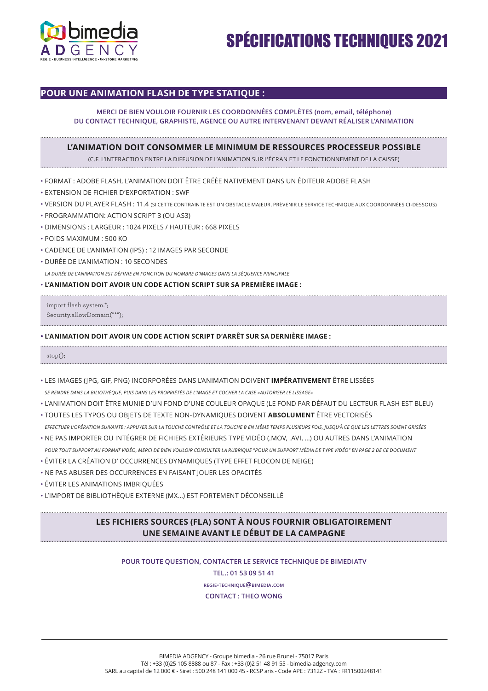

# SPÉCIFICATIONS TECHNIQUES 2021

### **POUR UNE ANIMATION FLASH DE TYPE STATIQUE :**

### **MERCI DE BIEN VOULOIR FOURNIR LES COORDONNÉES COMPLÈTES (nom, email, téléphone) DU CONTACT TECHNIQUE, GRAPHISTE, AGENCE OU AUTRE INTERVENANT DEVANT RÉALISER L'ANIMATION**

#### **L'ANIMATION DOIT CONSOMMER LE MINIMUM DE RESSOURCES PROCESSEUR POSSIBLE**

(C.F. L'INTERACTION ENTRE LA DIFFUSION DE L'ANIMATION SUR L'ÉCRAN ET LE FONCTIONNEMENT DE LA CAISSE)

- FORMAT : ADOBE FLASH, L'ANIMATION DOIT ÊTRE CRÉÉE NATIVEMENT DANS UN ÉDITEUR ADOBE FLASH
- EXTENSION DE FICHIER D'EXPORTATION : SWF
- VERSION DU PLAYER FLASH : 11.4 (SI CETTE CONTRAINTE EST UN OBSTACLE MAJEUR, PRÉVENIR LE SERVICE TECHNIQUE AUX COORDONNÉES CI-DESSOUS)
- PROGRAMMATION: ACTION SCRIPT 3 (OU AS3)
- DIMENSIONS : LARGEUR : 1024 PIXELS / HAUTEUR : 668 PIXELS
- POIDS MAXIMUM : 500 KO
- CADENCE DE L'ANIMATION (IPS) : 12 IMAGES PAR SECONDE
- DURÉE DE L'ANIMATION : 10 SECONDES

*LA DURÉE DE L'ANIMATION EST DÉFINIE EN FONCTION DU NOMBRE D'IMAGES DANS LA SÉQUENCE PRINCIPALE*

#### • **L'ANIMATION DOIT AVOIR UN CODE ACTION SCRIPT SUR SA PREMIÈRE IMAGE :**

import flash.system.\*; Security.allowDomain("\*");

#### **• L'ANIMATION DOIT AVOIR UN CODE ACTION SCRIPT D'ARRÊT SUR SA DERNIÈRE IMAGE :**

stop();

- LES IMAGES (JPG, GIF, PNG) INCORPORÉES DANS L'ANIMATION DOIVENT **IMPÉRATIVEMENT** ÊTRE LISSÉES *SE RENDRE DANS LA BILIOTHÈQUE, PUIS DANS LES PROPRIÉTÉS DE L'IMAGE ET COCHER LA CASE «AUTORISER LE LISSAGE»*
- L'ANIMATION DOIT ÊTRE MUNIE D'UN FOND D'UNE COULEUR OPAQUE (LE FOND PAR DÉFAUT DU LECTEUR FLASH EST BLEU)
- TOUTES LES TYPOS OU OBJETS DE TEXTE NON-DYNAMIQUES DOIVENT **ABSOLUMENT** ÊTRE VECTORISÉS *EFFECTUER L'OPÉRATION SUIVANTE : APPUYER SUR LA TOUCHE CONTRÔLE ET LA TOUCHE B EN MÊME TEMPS PLUSIEURS FOIS, JUSQU'À CE QUE LES LETTRES SOIENT GRISÉES*
- NE PAS IMPORTER OU INTÉGRER DE FICHIERS EXTÉRIEURS TYPE VIDÉO (.MOV, .AVI, …) OU AUTRES DANS L'ANIMATION *POUR TOUT SUPPORT AU FORMAT VIDÉO, MERCI DE BIEN VOULOIR CONSULTER LA RUBRIQUE "POUR UN SUPPORT MÉDIA DE TYPE VIDÉO" EN PAGE 2 DE CE DOCUMENT*
- ÉVITER LA CRÉATION D' OCCURRENCES DYNAMIQUES (TYPE EFFET FLOCON DE NEIGE)
- NE PAS ABUSER DES OCCURRENCES EN FAISANT JOUER LES OPACITÉS
- ÉVITER LES ANIMATIONS IMBRIQUÉES
- L'IMPORT DE BIBLIOTHÈQUE EXTERNE (MX…) EST FORTEMENT DÉCONSEILLÉ

## **LES FICHIERS SOURCES (FLA) SONT À NOUS FOURNIR OBLIGATOIREMENT UNE SEMAINE AVANT LE DÉBUT DE LA CAMPAGNE**

## **POUR TOUTE QUESTION, CONTACTER LE SERVICE TECHNIQUE DE BIMEDIATV**

**TEL.: 01 53 09 51 41**

**regie-technique@bimedia.com**

**CONTACT : THEO WONG**